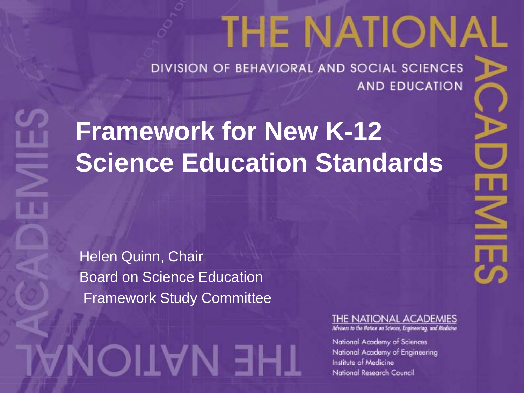# **THE NATIONAL**

DIVISION OF BEHAVIORAL AND SOCIAL SCIENCES **AND EDUCATION** 

#### **Framework for New K-12 Science Education Standards**

Helen Quinn, Chair Board on Science Education Framework Study Committee

AMOITAM EHT

#### THE NATIONAL ACADEMIES

Advisers to the Nation on Science, Engineering, and Medicine

National Academy of Sciences National Academy of Engineering Institute of Medicine National Research Council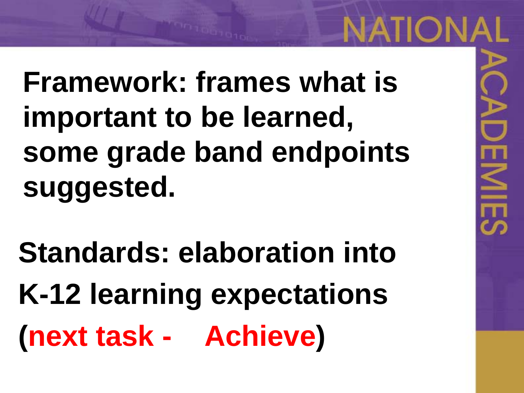## **Framework: frames what is important to be learned, some grade band endpoints suggested.**

NATIONAL

 $\leq$ 

**Standards: elaboration into K-12 learning expectations (next task - Achieve)**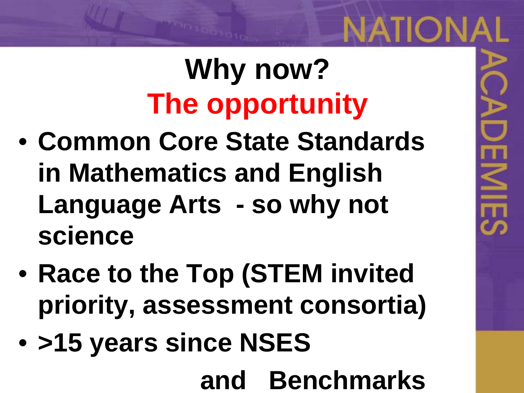# **Why now? The opportunity**

**NATIONAL** 

 $\leq$ 

- **Common Core State Standards in Mathematics and English Language Arts - so why not science**
- **Race to the Top (STEM invited priority, assessment consortia)**
- **>15 years since NSES**

**and Benchmarks**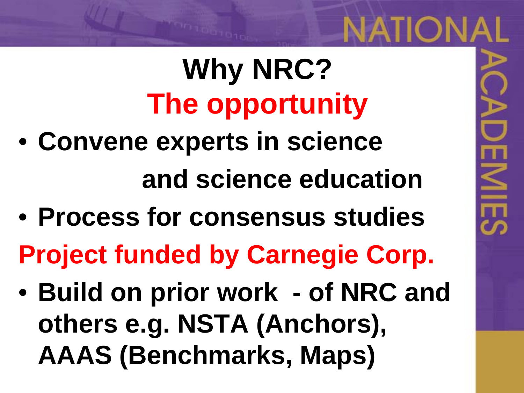# **Why NRC? The opportunity**

- **Convene experts in science and science education**
- **Process for consensus studies**

**Project funded by Carnegie Corp.** 

• **Build on prior work - of NRC and others e.g. NSTA (Anchors), AAAS (Benchmarks, Maps)**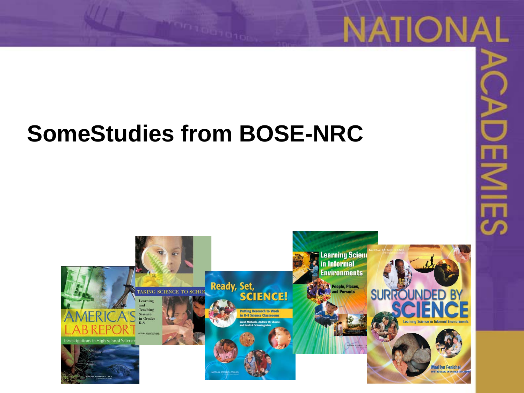#### **SomeStudies from BOSE-NRC**



**NATIONAL** 

 $\overline{\le}$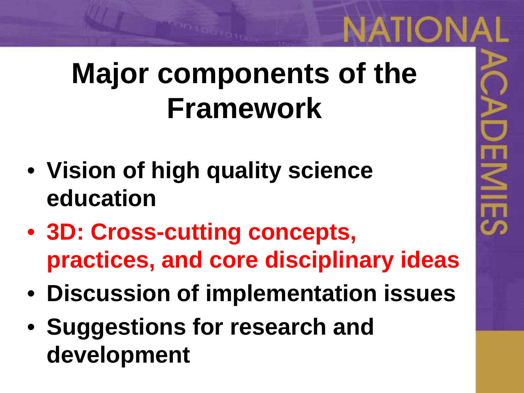#### **Major components of the Framework**

- **Vision of high quality science education**
- **3D: Cross-cutting concepts, practices, and core disciplinary ideas**
- **Discussion of implementation issues**
- **Suggestions for research and development**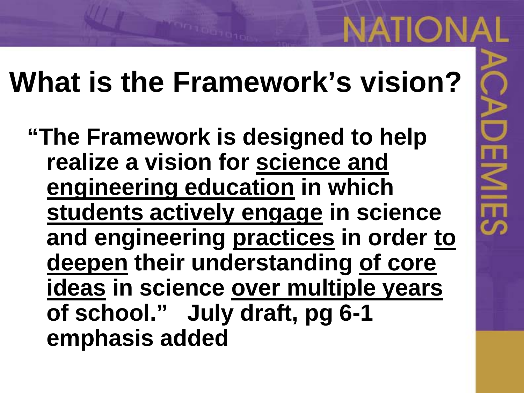#### **What is the Framework's vision?**

**IATION** 

**"The Framework is designed to help realize a vision for science and engineering education in which students actively engage in science and engineering practices in order to deepen their understanding of core ideas in science over multiple years of school." July draft, pg 6-1 emphasis added**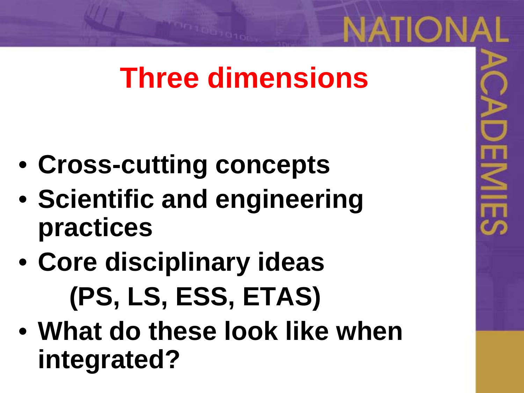#### **Three dimensions**

NATION.

 $\leq$ 

- **Cross-cutting concepts**
- **Scientific and engineering practices**
- **Core disciplinary ideas (PS, LS, ESS, ETAS)**
- **What do these look like when integrated?**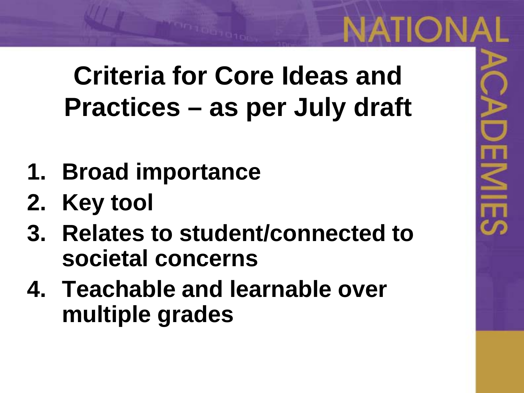**Criteria for Core Ideas and Practices – as per July draft**

- **1. Broad importance**
- **2. Key tool**
- **3. Relates to student/connected to societal concerns**
- **4. Teachable and learnable over multiple grades**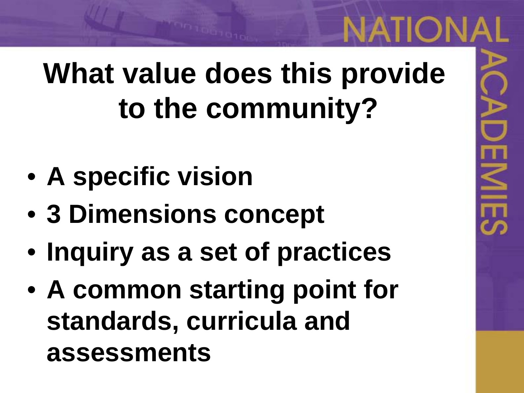#### **What value does this provide to the community?**

- **A specific vision**
- **3 Dimensions concept**
- **Inquiry as a set of practices**
- **A common starting point for standards, curricula and assessments**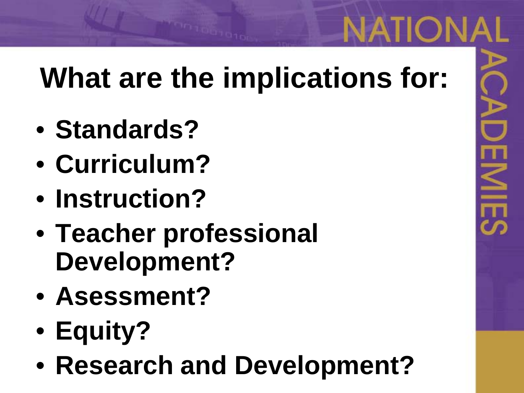#### **What are the implications for:**

- **Standards?**
- **Curriculum?**
- **Instruction?**
- **Teacher professional Development?**
- **Asessment?**
- **Equity?**
- **Research and Development?**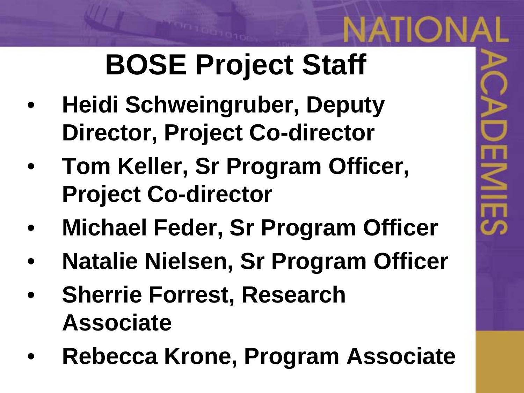## **BOSE Project Staff**

- **Heidi Schweingruber, Deputy Director, Project Co-director**
- **Tom Keller, Sr Program Officer, Project Co-director**
- **Michael Feder, Sr Program Officer**
- **Natalie Nielsen, Sr Program Officer**
- **Sherrie Forrest, Research Associate**
- **Rebecca Krone, Program Associate**